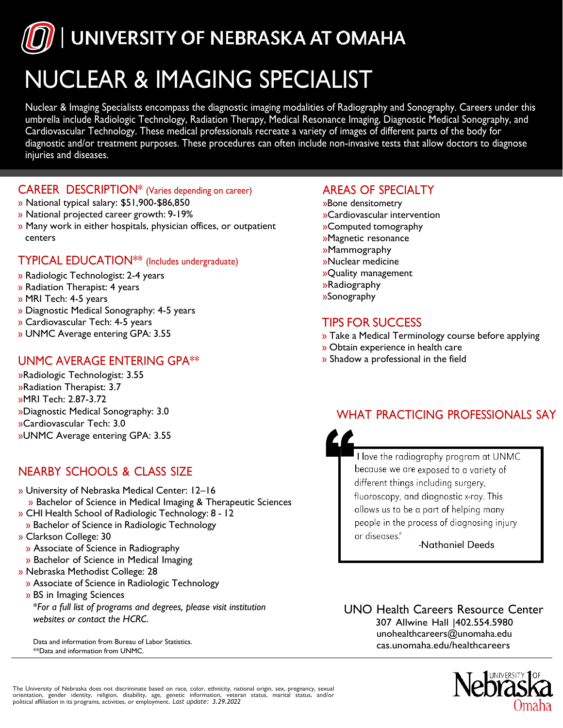UNIVERSITY OF NEBRASKA AT OMAHA

# NUCLEAR & IMAGING SPECIALIST

Nuclear & Imaging Specialists encompass the diagnostic imaging modalities of Radiography and Sonography. Careers under this umbrella include Radiologic Technology, Radiation Therapy, Medical Resonance Imaging, Diagnostic Medical Sonography, and Cardiovascular Technology. These medical professionals recreate a variety of images of different parts of the body for diagnostic and/or treatment purposes. These procedures can often include non-invasive tests that allow doctors to diagnose injuries and diseases.

#### CAREER DESCRIPTION\* (Varies depending on career)

- » National typical salary: \$51,900-\$86,850
- » National projected career growth: 9-19%
- » Many work in either hospitals, physician offices, or outpatient centers

#### TYPICAL EDUCATION\*\* (Includes undergraduate)

- » Radiologic Technologist: 2-4 years
- » Radiation Therapist: 4 years
- » MRI Tech: 4-5 years
- » Diagnostic Medical Sonography: 4-5 years
- » Cardiovascular Tech: 4-5 years
- » UNMC Average entering GPA: 3.55

### UNMC AVERAGE ENTERING GPA\*\*

»Radiologic Technologist: 3.55 »Radiation Therapist: 3.7 »MRI Tech: 2.87-3.72 »Diagnostic Medical Sonography: 3.0 »Cardiovascular Tech: 3.0 »UNMC Average entering GPA: 3.55

## NEARBY SCHOOLS & CLASS SIZE

- » University of Nebraska Medical Center: 12–16 » Bachelor of Science in Medical Imaging & Therapeutic Sciences » CHI Health School of Radiologic Technology: 8 - 12 » Bachelor of Science in Radiologic Technology » Clarkson College: 30 » Associate of Science in Radiography » Bachelor of Science in Medical Imaging » Nebraska Methodist College: 28
	- » Associate of Science in Radiologic Technology
	- » BS in Imaging Sciences \**For a full list of programs and degrees, please visit institution websites or contact the HCRC*.

Data and information from Bureau of Labor Statistics. \*\*Data and information from UNMC.

#### AREAS OF SPECIALTY

- »Bone densitometry »Cardiovascular intervention »Computed tomography »Magnetic resonance »Mammography »Nuclear medicine »Quality management »Radiography
- »Sonography

## TIPS FOR SUCCESS

- » Take a Medical Terminology course before applying
- » Obtain experience in health care
- » Shadow a professional in the field

## WHAT PRACTICING PROFESSIONALS SAY



I love the radiography program at UNMC because we are exposed to a variety of different things including surgery, fluoroscopy, and diagnostic x-ray. This allows us to be a part of helping many people in the process of diagnosing injury or diseases."

-Nathaniel Deeds

UNO Health Careers Resource Center 307 Allwine Hall |402.554.5980 [unohealthcareers@unomaha.edu](mailto:unohealthcareers@unomaha.edu) cas.unomaha.edu/healthcareers



The University of Nebraska does not discriminate based on race, color, ethnicity, national origin, sex, pregnancy, sexual orientation, gender identity, religion, disability, age, genetic information, veteran status, marital status, and/or political affiliation in its programs, activities, or employment*. Last update: 3.29.2022*